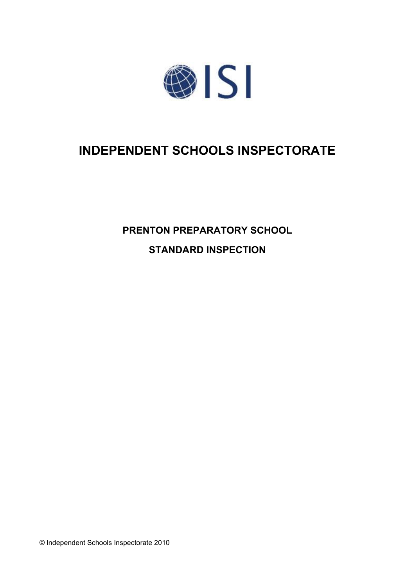

# **INDEPENDENT SCHOOLS INSPECTORATE**

**PRENTON PREPARATORY SCHOOL STANDARD INSPECTION**

© Independent Schools Inspectorate 2010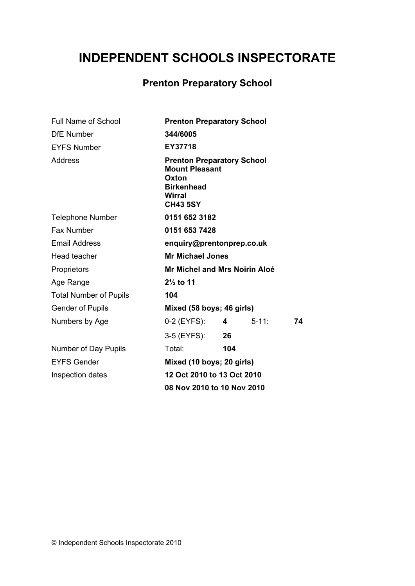# **INDEPENDENT SCHOOLS INSPECTORATE**

# **Prenton Preparatory School**

| <b>Full Name of School</b>    | <b>Prenton Preparatory School</b>                                                                                     |                |            |    |  |
|-------------------------------|-----------------------------------------------------------------------------------------------------------------------|----------------|------------|----|--|
| <b>DfE Number</b>             | 344/6005                                                                                                              |                |            |    |  |
| <b>EYFS Number</b>            | EY37718                                                                                                               |                |            |    |  |
| Address                       | <b>Prenton Preparatory School</b><br><b>Mount Pleasant</b><br>Oxton<br><b>Birkenhead</b><br>Wirral<br><b>CH43 5SY</b> |                |            |    |  |
| <b>Telephone Number</b>       | 0151 652 3182                                                                                                         |                |            |    |  |
| Fax Number                    | 0151 653 7428                                                                                                         |                |            |    |  |
| <b>Email Address</b>          | enquiry@prentonprep.co.uk                                                                                             |                |            |    |  |
| Head teacher                  | <b>Mr Michael Jones</b>                                                                                               |                |            |    |  |
| Proprietors                   | Mr Michel and Mrs Noirin Aloé                                                                                         |                |            |    |  |
| Age Range                     | $2\frac{1}{2}$ to 11                                                                                                  |                |            |    |  |
| <b>Total Number of Pupils</b> | 104                                                                                                                   |                |            |    |  |
| <b>Gender of Pupils</b>       | Mixed (58 boys; 46 girls)                                                                                             |                |            |    |  |
| Numbers by Age                | 0-2 (EYFS):                                                                                                           | $\overline{4}$ | $5 - 11$ : | 74 |  |
|                               | 3-5 (EYFS):                                                                                                           | 26             |            |    |  |
| Number of Day Pupils          | Total:                                                                                                                | 104            |            |    |  |
| <b>EYFS Gender</b>            | Mixed (10 boys; 20 girls)                                                                                             |                |            |    |  |
| Inspection dates              | 12 Oct 2010 to 13 Oct 2010                                                                                            |                |            |    |  |
|                               | 08 Nov 2010 to 10 Nov 2010                                                                                            |                |            |    |  |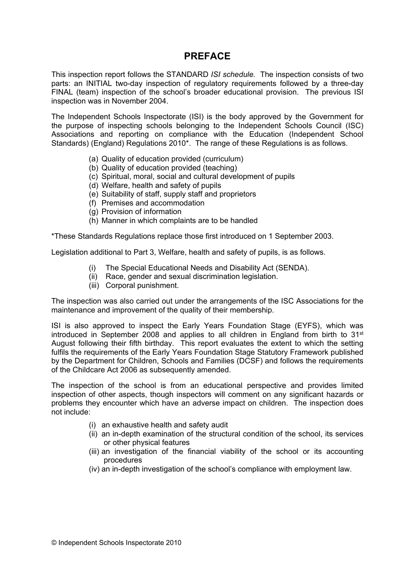# **PREFACE**

This inspection report follows the STANDARD *ISI schedule.* The inspection consists of two parts: an INITIAL two-day inspection of regulatory requirements followed by a three-day FINAL (team) inspection of the school's broader educational provision. The previous ISI inspection was in November 2004.

The Independent Schools Inspectorate (ISI) is the body approved by the Government for the purpose of inspecting schools belonging to the Independent Schools Council (ISC) Associations and reporting on compliance with the Education (Independent School Standards) (England) Regulations 2010\*. The range of these Regulations is as follows.

- (a) Quality of education provided (curriculum)
- (b) Quality of education provided (teaching)
- (c) Spiritual, moral, social and cultural development of pupils
- (d) Welfare, health and safety of pupils
- (e) Suitability of staff, supply staff and proprietors
- (f) Premises and accommodation
- (g) Provision of information
- (h) Manner in which complaints are to be handled

\*These Standards Regulations replace those first introduced on 1 September 2003.

Legislation additional to Part 3, Welfare, health and safety of pupils, is as follows.

- (i) The Special Educational Needs and Disability Act (SENDA).
- (ii) Race, gender and sexual discrimination legislation.
- (iii) Corporal punishment.

The inspection was also carried out under the arrangements of the ISC Associations for the maintenance and improvement of the quality of their membership.

ISI is also approved to inspect the Early Years Foundation Stage (EYFS), which was introduced in September 2008 and applies to all children in England from birth to 31<sup>st</sup> August following their fifth birthday. This report evaluates the extent to which the setting fulfils the requirements of the Early Years Foundation Stage Statutory Framework published by the Department for Children, Schools and Families (DCSF) and follows the requirements of the Childcare Act 2006 as subsequently amended.

The inspection of the school is from an educational perspective and provides limited inspection of other aspects, though inspectors will comment on any significant hazards or problems they encounter which have an adverse impact on children. The inspection does not include:

- (i) an exhaustive health and safety audit
- (ii) an in-depth examination of the structural condition of the school, its services or other physical features
- (iii) an investigation of the financial viability of the school or its accounting procedures
- (iv) an in-depth investigation of the school's compliance with employment law.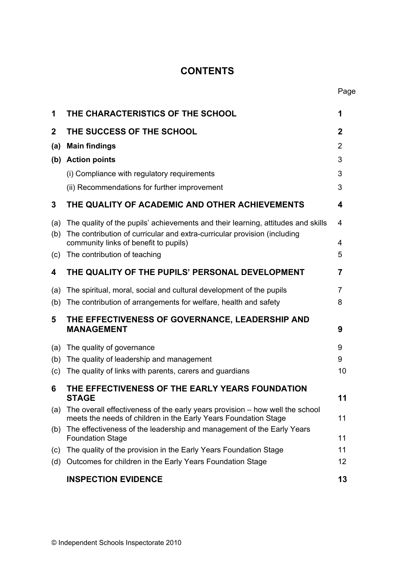# **CONTENTS**

| 1           | THE CHARACTERISTICS OF THE SCHOOL                                                                                                                            | 1      |
|-------------|--------------------------------------------------------------------------------------------------------------------------------------------------------------|--------|
| $\mathbf 2$ | THE SUCCESS OF THE SCHOOL                                                                                                                                    | 2      |
| (a)         | <b>Main findings</b>                                                                                                                                         | 2      |
|             | (b) Action points                                                                                                                                            | 3      |
|             | (i) Compliance with regulatory requirements                                                                                                                  | 3      |
|             | (ii) Recommendations for further improvement                                                                                                                 | 3      |
| 3           | THE QUALITY OF ACADEMIC AND OTHER ACHIEVEMENTS                                                                                                               | 4      |
| (a)<br>(b)  | The quality of the pupils' achievements and their learning, attitudes and skills<br>The contribution of curricular and extra-curricular provision (including | 4      |
|             | community links of benefit to pupils)<br>The contribution of teaching                                                                                        | 4<br>5 |
| (c)         |                                                                                                                                                              |        |
| 4           | THE QUALITY OF THE PUPILS' PERSONAL DEVELOPMENT                                                                                                              | 7      |
| (a)         | The spiritual, moral, social and cultural development of the pupils                                                                                          | 7      |
| (b)         | The contribution of arrangements for welfare, health and safety                                                                                              | 8      |
| 5           | THE EFFECTIVENESS OF GOVERNANCE, LEADERSHIP AND<br><b>MANAGEMENT</b>                                                                                         | 9      |
| (a)         | The quality of governance                                                                                                                                    | 9      |
| (b)         | The quality of leadership and management                                                                                                                     | 9      |
| (c)         | The quality of links with parents, carers and guardians                                                                                                      | 10     |
| 6           | THE EFFECTIVENESS OF THE EARLY YEARS FOUNDATION<br><b>STAGE</b>                                                                                              | 11     |
|             | (a) The overall effectiveness of the early years provision – how well the school<br>meets the needs of children in the Early Years Foundation Stage          | 11     |
| (b)         | The effectiveness of the leadership and management of the Early Years<br><b>Foundation Stage</b>                                                             | 11     |
| (c)         | The quality of the provision in the Early Years Foundation Stage                                                                                             | 11     |
| (d)         | Outcomes for children in the Early Years Foundation Stage                                                                                                    | 12     |
|             | <b>INSPECTION EVIDENCE</b>                                                                                                                                   | 13     |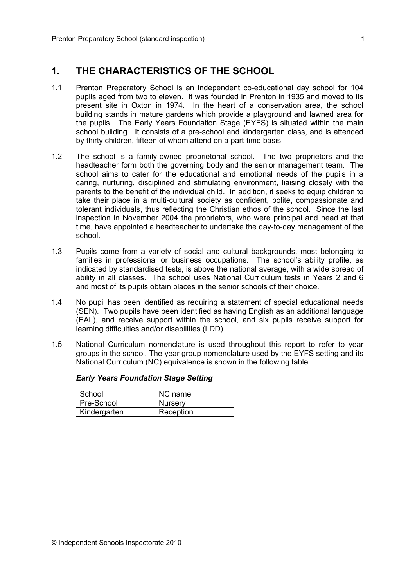## **1. THE CHARACTERISTICS OF THE SCHOOL**

- 1.1 Prenton Preparatory School is an independent co-educational day school for 104 pupils aged from two to eleven. It was founded in Prenton in 1935 and moved to its present site in Oxton in 1974. In the heart of a conservation area, the school building stands in mature gardens which provide a playground and lawned area for the pupils. The Early Years Foundation Stage (EYFS) is situated within the main school building. It consists of a pre-school and kindergarten class, and is attended by thirty children, fifteen of whom attend on a part-time basis.
- 1.2 The school is a family-owned proprietorial school. The two proprietors and the headteacher form both the governing body and the senior management team. The school aims to cater for the educational and emotional needs of the pupils in a caring, nurturing, disciplined and stimulating environment, liaising closely with the parents to the benefit of the individual child. In addition, it seeks to equip children to take their place in a multi-cultural society as confident, polite, compassionate and tolerant individuals, thus reflecting the Christian ethos of the school. Since the last inspection in November 2004 the proprietors, who were principal and head at that time, have appointed a headteacher to undertake the day-to-day management of the school.
- 1.3 Pupils come from a variety of social and cultural backgrounds, most belonging to families in professional or business occupations. The school's ability profile, as indicated by standardised tests, is above the national average, with a wide spread of ability in all classes. The school uses National Curriculum tests in Years 2 and 6 and most of its pupils obtain places in the senior schools of their choice.
- 1.4 No pupil has been identified as requiring a statement of special educational needs (SEN). Two pupils have been identified as having English as an additional language (EAL), and receive support within the school, and six pupils receive support for learning difficulties and/or disabilities (LDD).
- 1.5 National Curriculum nomenclature is used throughout this report to refer to year groups in the school. The year group nomenclature used by the EYFS setting and its National Curriculum (NC) equivalence is shown in the following table.

| School       | NC name        |
|--------------|----------------|
| Pre-School   | <b>Nursery</b> |
| Kindergarten | Reception      |

#### *Early Years Foundation Stage Setting*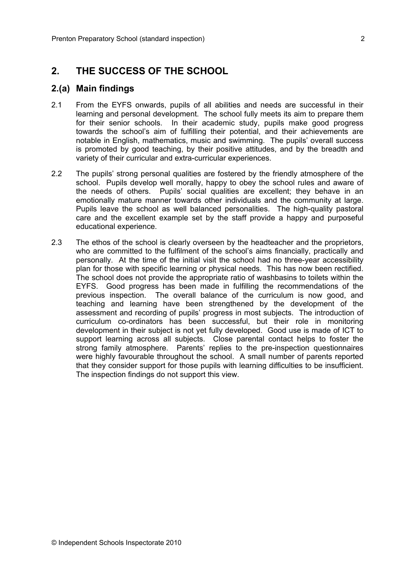## **2. THE SUCCESS OF THE SCHOOL**

#### **2.(a) Main findings**

- 2.1 From the EYFS onwards, pupils of all abilities and needs are successful in their learning and personal development. The school fully meets its aim to prepare them for their senior schools. In their academic study, pupils make good progress towards the school's aim of fulfilling their potential, and their achievements are notable in English, mathematics, music and swimming. The pupils' overall success is promoted by good teaching, by their positive attitudes, and by the breadth and variety of their curricular and extra-curricular experiences.
- 2.2 The pupils' strong personal qualities are fostered by the friendly atmosphere of the school. Pupils develop well morally, happy to obey the school rules and aware of the needs of others. Pupils' social qualities are excellent; they behave in an emotionally mature manner towards other individuals and the community at large. Pupils leave the school as well balanced personalities. The high-quality pastoral care and the excellent example set by the staff provide a happy and purposeful educational experience.
- 2.3 The ethos of the school is clearly overseen by the headteacher and the proprietors, who are committed to the fulfilment of the school's aims financially, practically and personally. At the time of the initial visit the school had no three-year accessibility plan for those with specific learning or physical needs. This has now been rectified. The school does not provide the appropriate ratio of washbasins to toilets within the EYFS. Good progress has been made in fulfilling the recommendations of the previous inspection. The overall balance of the curriculum is now good, and teaching and learning have been strengthened by the development of the assessment and recording of pupils' progress in most subjects. The introduction of curriculum co-ordinators has been successful, but their role in monitoring development in their subject is not yet fully developed. Good use is made of ICT to support learning across all subjects. Close parental contact helps to foster the strong family atmosphere. Parents' replies to the pre-inspection questionnaires were highly favourable throughout the school. A small number of parents reported that they consider support for those pupils with learning difficulties to be insufficient. The inspection findings do not support this view.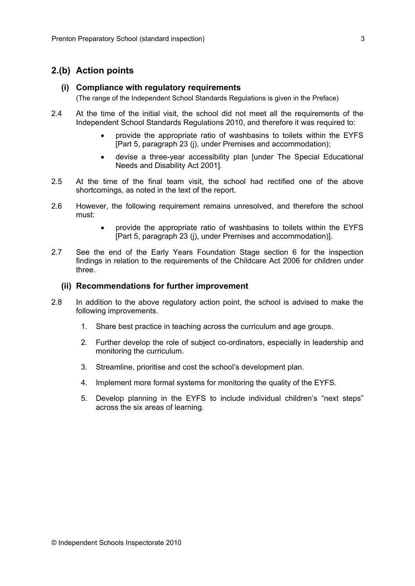#### **2.(b) Action points**

#### **(i) Compliance with regulatory requirements**

(The range of the Independent School Standards Regulations is given in the Preface)

- 2.4 At the time of the initial visit, the school did not meet all the requirements of the Independent School Standards Regulations 2010, and therefore it was required to:
	- provide the appropriate ratio of washbasins to toilets within the EYFS [Part 5, paragraph 23 (j), under Premises and accommodation);
	- devise a three-year accessibility plan [under The Special Educational Needs and Disability Act 2001].
- 2.5 At the time of the final team visit, the school had rectified one of the above shortcomings, as noted in the text of the report.
- 2.6 However, the following requirement remains unresolved, and therefore the school must:
	- provide the appropriate ratio of washbasins to toilets within the EYFS [Part 5, paragraph 23 (j), under Premises and accommodation)].
- 2.7 See the end of the Early Years Foundation Stage section 6 for the inspection findings in relation to the requirements of the Childcare Act 2006 for children under three.

#### **(ii) Recommendations for further improvement**

- 2.8 In addition to the above regulatory action point, the school is advised to make the following improvements.
	- 1. Share best practice in teaching across the curriculum and age groups.
	- 2. Further develop the role of subject co-ordinators, especially in leadership and monitoring the curriculum.
	- 3. Streamline, prioritise and cost the school's development plan.
	- 4. Implement more formal systems for monitoring the quality of the EYFS.
	- 5. Develop planning in the EYFS to include individual children's "next steps" across the six areas of learning.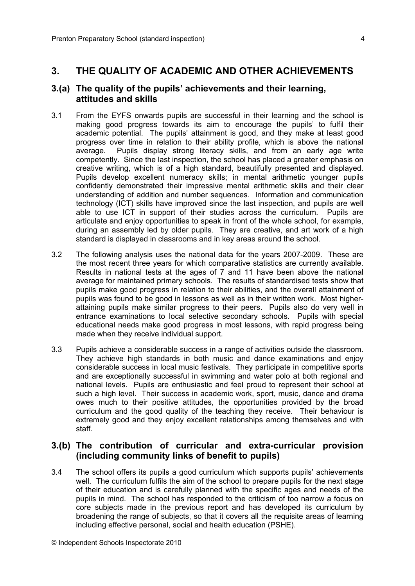## **3. THE QUALITY OF ACADEMIC AND OTHER ACHIEVEMENTS**

### **3.(a) The quality of the pupils' achievements and their learning, attitudes and skills**

- 3.1 From the EYFS onwards pupils are successful in their learning and the school is making good progress towards its aim to encourage the pupils' to fulfil their academic potential. The pupils' attainment is good, and they make at least good progress over time in relation to their ability profile, which is above the national average. Pupils display strong literacy skills, and from an early age write competently. Since the last inspection, the school has placed a greater emphasis on creative writing, which is of a high standard, beautifully presented and displayed. Pupils develop excellent numeracy skills; in mental arithmetic younger pupils confidently demonstrated their impressive mental arithmetic skills and their clear understanding of addition and number sequences. Information and communication technology (ICT) skills have improved since the last inspection, and pupils are well able to use ICT in support of their studies across the curriculum. Pupils are articulate and enjoy opportunities to speak in front of the whole school, for example, during an assembly led by older pupils. They are creative, and art work of a high standard is displayed in classrooms and in key areas around the school.
- 3.2 The following analysis uses the national data for the years 2007-2009. These are the most recent three years for which comparative statistics are currently available. Results in national tests at the ages of 7 and 11 have been above the national average for maintained primary schools. The results of standardised tests show that pupils make good progress in relation to their abilities, and the overall attainment of pupils was found to be good in lessons as well as in their written work. Most higherattaining pupils make similar progress to their peers. Pupils also do very well in entrance examinations to local selective secondary schools. Pupils with special educational needs make good progress in most lessons, with rapid progress being made when they receive individual support.
- 3.3 Pupils achieve a considerable success in a range of activities outside the classroom. They achieve high standards in both music and dance examinations and enjoy considerable success in local music festivals. They participate in competitive sports and are exceptionally successful in swimming and water polo at both regional and national levels. Pupils are enthusiastic and feel proud to represent their school at such a high level. Their success in academic work, sport, music, dance and drama owes much to their positive attitudes, the opportunities provided by the broad curriculum and the good quality of the teaching they receive. Their behaviour is extremely good and they enjoy excellent relationships among themselves and with staff.

## **3.(b) The contribution of curricular and extra-curricular provision (including community links of benefit to pupils)**

3.4 The school offers its pupils a good curriculum which supports pupils' achievements well. The curriculum fulfils the aim of the school to prepare pupils for the next stage of their education and is carefully planned with the specific ages and needs of the pupils in mind. The school has responded to the criticism of too narrow a focus on core subjects made in the previous report and has developed its curriculum by broadening the range of subjects, so that it covers all the requisite areas of learning including effective personal, social and health education (PSHE).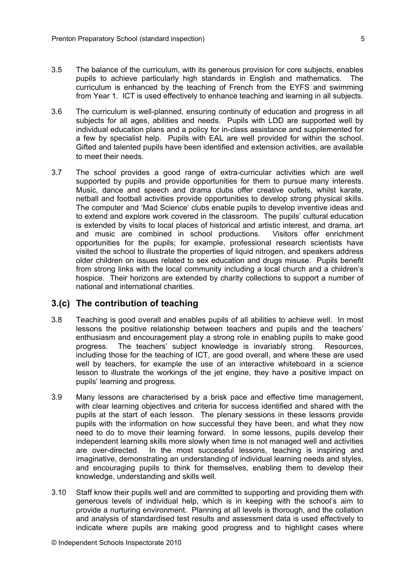- 3.5 The balance of the curriculum, with its generous provision for core subjects, enables pupils to achieve particularly high standards in English and mathematics. The curriculum is enhanced by the teaching of French from the EYFS and swimming from Year 1. ICT is used effectively to enhance teaching and learning in all subjects.
- 3.6 The curriculum is well-planned, ensuring continuity of education and progress in all subjects for all ages, abilities and needs. Pupils with LDD are supported well by individual education plans and a policy for in-class assistance and supplemented for a few by specialist help. Pupils with EAL are well provided for within the school. Gifted and talented pupils have been identified and extension activities, are available to meet their needs.
- 3.7 The school provides a good range of extra-curricular activities which are well supported by pupils and provide opportunities for them to pursue many interests. Music, dance and speech and drama clubs offer creative outlets, whilst karate, netball and football activities provide opportunities to develop strong physical skills. The computer and 'Mad Science' clubs enable pupils to develop inventive ideas and to extend and explore work covered in the classroom. The pupils' cultural education is extended by visits to local places of historical and artistic interest, and drama, art and music are combined in school productions. Visitors offer enrichment opportunities for the pupils; for example, professional research scientists have visited the school to illustrate the properties of liquid nitrogen, and speakers address older children on issues related to sex education and drugs misuse. Pupils benefit from strong links with the local community including a local church and a children's hospice. Their horizons are extended by charity collections to support a number of national and international charities.

#### **3.(c) The contribution of teaching**

- 3.8 Teaching is good overall and enables pupils of all abilities to achieve well. In most lessons the positive relationship between teachers and pupils and the teachers' enthusiasm and encouragement play a strong role in enabling pupils to make good progress. The teachers' subject knowledge is invariably strong. Resources, including those for the teaching of ICT, are good overall, and where these are used well by teachers, for example the use of an interactive whiteboard in a science lesson to illustrate the workings of the jet engine, they have a positive impact on pupils' learning and progress.
- 3.9 Many lessons are characterised by a brisk pace and effective time management, with clear learning objectives and criteria for success identified and shared with the pupils at the start of each lesson. The plenary sessions in these lessons provide pupils with the information on how successful they have been, and what they now need to do to move their learning forward. In some lessons, pupils develop their independent learning skills more slowly when time is not managed well and activities are over-directed. In the most successful lessons, teaching is inspiring and imaginative, demonstrating an understanding of individual learning needs and styles, and encouraging pupils to think for themselves, enabling them to develop their knowledge, understanding and skills well.
- 3.10 Staff know their pupils well and are committed to supporting and providing them with generous levels of individual help, which is in keeping with the school's aim to provide a nurturing environment. Planning at all levels is thorough, and the collation and analysis of standardised test results and assessment data is used effectively to indicate where pupils are making good progress and to highlight cases where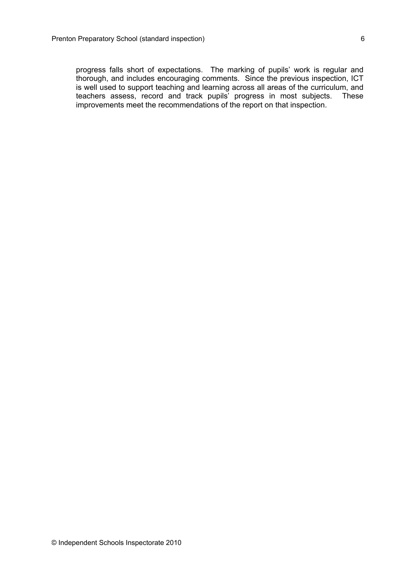progress falls short of expectations. The marking of pupils' work is regular and thorough, and includes encouraging comments. Since the previous inspection, ICT is well used to support teaching and learning across all areas of the curriculum, and teachers assess, record and track pupils' progress in most subjects. These teachers assess, record and track pupils' progress in most subjects. improvements meet the recommendations of the report on that inspection.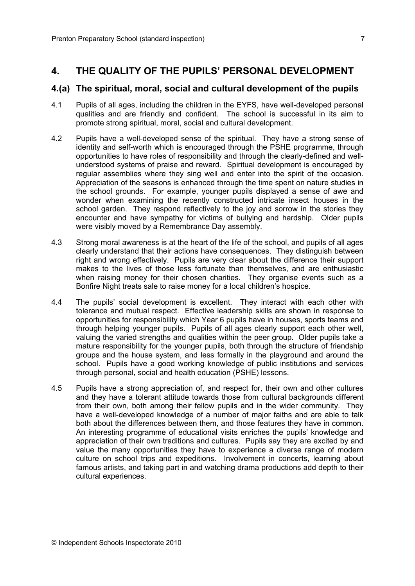## **4. THE QUALITY OF THE PUPILS' PERSONAL DEVELOPMENT**

#### **4.(a) The spiritual, moral, social and cultural development of the pupils**

- 4.1 Pupils of all ages, including the children in the EYFS, have well-developed personal qualities and are friendly and confident. The school is successful in its aim to promote strong spiritual, moral, social and cultural development.
- 4.2 Pupils have a well-developed sense of the spiritual. They have a strong sense of identity and self-worth which is encouraged through the PSHE programme, through opportunities to have roles of responsibility and through the clearly-defined and wellunderstood systems of praise and reward. Spiritual development is encouraged by regular assemblies where they sing well and enter into the spirit of the occasion. Appreciation of the seasons is enhanced through the time spent on nature studies in the school grounds. For example, younger pupils displayed a sense of awe and wonder when examining the recently constructed intricate insect houses in the school garden. They respond reflectively to the joy and sorrow in the stories they encounter and have sympathy for victims of bullying and hardship. Older pupils were visibly moved by a Remembrance Day assembly.
- 4.3 Strong moral awareness is at the heart of the life of the school, and pupils of all ages clearly understand that their actions have consequences. They distinguish between right and wrong effectively. Pupils are very clear about the difference their support makes to the lives of those less fortunate than themselves, and are enthusiastic when raising money for their chosen charities. They organise events such as a Bonfire Night treats sale to raise money for a local children's hospice.
- 4.4 The pupils' social development is excellent. They interact with each other with tolerance and mutual respect. Effective leadership skills are shown in response to opportunities for responsibility which Year 6 pupils have in houses, sports teams and through helping younger pupils. Pupils of all ages clearly support each other well, valuing the varied strengths and qualities within the peer group. Older pupils take a mature responsibility for the younger pupils, both through the structure of friendship groups and the house system, and less formally in the playground and around the school. Pupils have a good working knowledge of public institutions and services through personal, social and health education (PSHE) lessons.
- 4.5 Pupils have a strong appreciation of, and respect for, their own and other cultures and they have a tolerant attitude towards those from cultural backgrounds different from their own, both among their fellow pupils and in the wider community. They have a well-developed knowledge of a number of major faiths and are able to talk both about the differences between them, and those features they have in common. An interesting programme of educational visits enriches the pupils' knowledge and appreciation of their own traditions and cultures. Pupils say they are excited by and value the many opportunities they have to experience a diverse range of modern culture on school trips and expeditions. Involvement in concerts, learning about famous artists, and taking part in and watching drama productions add depth to their cultural experiences.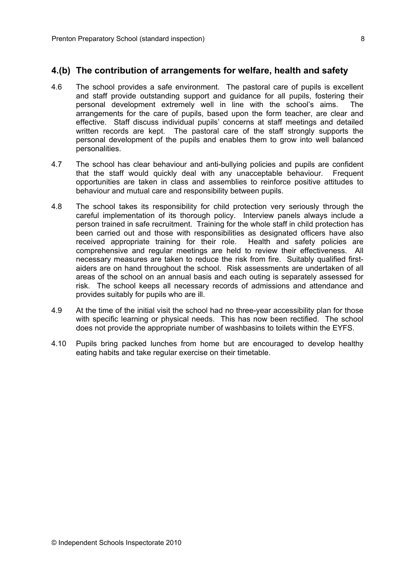### **4.(b) The contribution of arrangements for welfare, health and safety**

- 4.6 The school provides a safe environment. The pastoral care of pupils is excellent and staff provide outstanding support and guidance for all pupils, fostering their personal development extremely well in line with the school's aims. The arrangements for the care of pupils, based upon the form teacher, are clear and effective. Staff discuss individual pupils' concerns at staff meetings and detailed written records are kept. The pastoral care of the staff strongly supports the personal development of the pupils and enables them to grow into well balanced personalities.
- 4.7 The school has clear behaviour and anti-bullying policies and pupils are confident that the staff would quickly deal with any unacceptable behaviour. Frequent opportunities are taken in class and assemblies to reinforce positive attitudes to behaviour and mutual care and responsibility between pupils.
- 4.8 The school takes its responsibility for child protection very seriously through the careful implementation of its thorough policy. Interview panels always include a person trained in safe recruitment. Training for the whole staff in child protection has been carried out and those with responsibilities as designated officers have also received appropriate training for their role. Health and safety policies are comprehensive and regular meetings are held to review their effectiveness. All necessary measures are taken to reduce the risk from fire. Suitably qualified firstaiders are on hand throughout the school. Risk assessments are undertaken of all areas of the school on an annual basis and each outing is separately assessed for risk. The school keeps all necessary records of admissions and attendance and provides suitably for pupils who are ill.
- 4.9 At the time of the initial visit the school had no three-year accessibility plan for those with specific learning or physical needs. This has now been rectified. The school does not provide the appropriate number of washbasins to toilets within the EYFS.
- 4.10 Pupils bring packed lunches from home but are encouraged to develop healthy eating habits and take regular exercise on their timetable.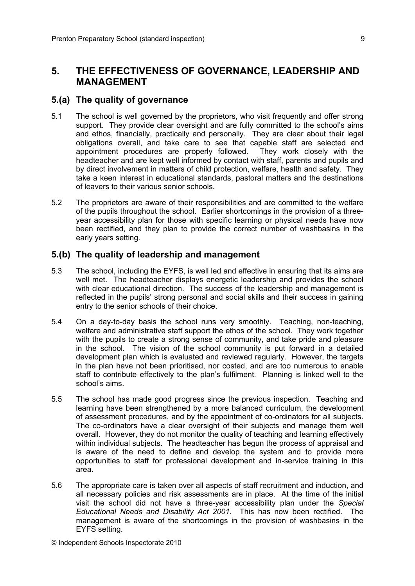## **5. THE EFFECTIVENESS OF GOVERNANCE, LEADERSHIP AND MANAGEMENT**

#### **5.(a) The quality of governance**

- 5.1 The school is well governed by the proprietors, who visit frequently and offer strong support. They provide clear oversight and are fully committed to the school's aims and ethos, financially, practically and personally. They are clear about their legal obligations overall, and take care to see that capable staff are selected and appointment procedures are properly followed. They work closely with the headteacher and are kept well informed by contact with staff, parents and pupils and by direct involvement in matters of child protection, welfare, health and safety. They take a keen interest in educational standards, pastoral matters and the destinations of leavers to their various senior schools.
- 5.2 The proprietors are aware of their responsibilities and are committed to the welfare of the pupils throughout the school. Earlier shortcomings in the provision of a threeyear accessibility plan for those with specific learning or physical needs have now been rectified, and they plan to provide the correct number of washbasins in the early years setting.

#### **5.(b) The quality of leadership and management**

- 5.3 The school, including the EYFS, is well led and effective in ensuring that its aims are well met. The headteacher displays energetic leadership and provides the school with clear educational direction. The success of the leadership and management is reflected in the pupils' strong personal and social skills and their success in gaining entry to the senior schools of their choice.
- 5.4 On a day-to-day basis the school runs very smoothly. Teaching, non-teaching, welfare and administrative staff support the ethos of the school. They work together with the pupils to create a strong sense of community, and take pride and pleasure in the school. The vision of the school community is put forward in a detailed development plan which is evaluated and reviewed regularly. However, the targets in the plan have not been prioritised, nor costed, and are too numerous to enable staff to contribute effectively to the plan's fulfilment. Planning is linked well to the school's aims.
- 5.5 The school has made good progress since the previous inspection. Teaching and learning have been strengthened by a more balanced curriculum, the development of assessment procedures, and by the appointment of co-ordinators for all subjects. The co-ordinators have a clear oversight of their subjects and manage them well overall. However, they do not monitor the quality of teaching and learning effectively within individual subjects. The headteacher has begun the process of appraisal and is aware of the need to define and develop the system and to provide more opportunities to staff for professional development and in-service training in this area.
- 5.6 The appropriate care is taken over all aspects of staff recruitment and induction, and all necessary policies and risk assessments are in place. At the time of the initial visit the school did not have a three-year accessibility plan under the *Special Educational Needs and Disability Act 2001*. This has now been rectified. The management is aware of the shortcomings in the provision of washbasins in the EYFS setting.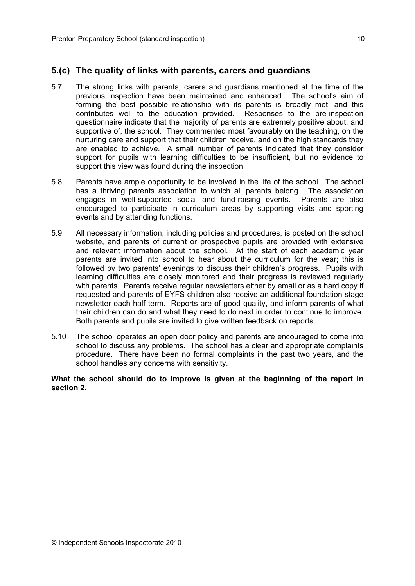### **5.(c) The quality of links with parents, carers and guardians**

- 5.7 The strong links with parents, carers and guardians mentioned at the time of the previous inspection have been maintained and enhanced. The school's aim of forming the best possible relationship with its parents is broadly met, and this contributes well to the education provided. Responses to the pre-inspection questionnaire indicate that the majority of parents are extremely positive about, and supportive of, the school. They commented most favourably on the teaching, on the nurturing care and support that their children receive, and on the high standards they are enabled to achieve. A small number of parents indicated that they consider support for pupils with learning difficulties to be insufficient, but no evidence to support this view was found during the inspection.
- 5.8 Parents have ample opportunity to be involved in the life of the school. The school has a thriving parents association to which all parents belong. The association engages in well-supported social and fund-raising events. Parents are also encouraged to participate in curriculum areas by supporting visits and sporting events and by attending functions.
- 5.9 All necessary information, including policies and procedures, is posted on the school website, and parents of current or prospective pupils are provided with extensive and relevant information about the school. At the start of each academic year parents are invited into school to hear about the curriculum for the year; this is followed by two parents' evenings to discuss their children's progress. Pupils with learning difficulties are closely monitored and their progress is reviewed regularly with parents. Parents receive regular newsletters either by email or as a hard copy if requested and parents of EYFS children also receive an additional foundation stage newsletter each half term. Reports are of good quality, and inform parents of what their children can do and what they need to do next in order to continue to improve. Both parents and pupils are invited to give written feedback on reports.
- 5.10 The school operates an open door policy and parents are encouraged to come into school to discuss any problems. The school has a clear and appropriate complaints procedure. There have been no formal complaints in the past two years, and the school handles any concerns with sensitivity.

**What the school should do to improve is given at the beginning of the report in section 2.**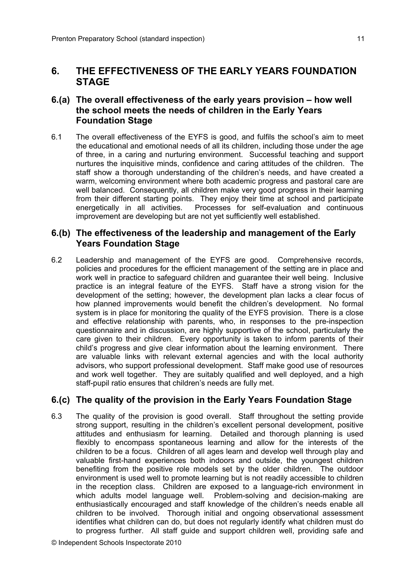## **6. THE EFFECTIVENESS OF THE EARLY YEARS FOUNDATION STAGE**

## **6.(a) The overall effectiveness of the early years provision – how well the school meets the needs of children in the Early Years Foundation Stage**

6.1 The overall effectiveness of the EYFS is good, and fulfils the school's aim to meet the educational and emotional needs of all its children, including those under the age of three, in a caring and nurturing environment. Successful teaching and support nurtures the inquisitive minds, confidence and caring attitudes of the children. The staff show a thorough understanding of the children's needs, and have created a warm, welcoming environment where both academic progress and pastoral care are well balanced. Consequently, all children make very good progress in their learning from their different starting points. They enjoy their time at school and participate energetically in all activities. Processes for self-evaluation and continuous improvement are developing but are not yet sufficiently well established.

### **6.(b) The effectiveness of the leadership and management of the Early Years Foundation Stage**

6.2 Leadership and management of the EYFS are good. Comprehensive records, policies and procedures for the efficient management of the setting are in place and work well in practice to safeguard children and guarantee their well being. Inclusive practice is an integral feature of the EYFS. Staff have a strong vision for the development of the setting; however, the development plan lacks a clear focus of how planned improvements would benefit the children's development. No formal system is in place for monitoring the quality of the EYFS provision. There is a close and effective relationship with parents, who, in responses to the pre-inspection questionnaire and in discussion, are highly supportive of the school, particularly the care given to their children. Every opportunity is taken to inform parents of their child's progress and give clear information about the learning environment. There are valuable links with relevant external agencies and with the local authority advisors, who support professional development. Staff make good use of resources and work well together. They are suitably qualified and well deployed, and a high staff-pupil ratio ensures that children's needs are fully met.

## **6.(c) The quality of the provision in the Early Years Foundation Stage**

6.3 The quality of the provision is good overall. Staff throughout the setting provide strong support, resulting in the children's excellent personal development, positive attitudes and enthusiasm for learning. Detailed and thorough planning is used flexibly to encompass spontaneous learning and allow for the interests of the children to be a focus. Children of all ages learn and develop well through play and valuable first-hand experiences both indoors and outside, the youngest children benefiting from the positive role models set by the older children. The outdoor environment is used well to promote learning but is not readily accessible to children in the reception class. Children are exposed to a language-rich environment in which adults model language well. Problem-solving and decision-making are enthusiastically encouraged and staff knowledge of the children's needs enable all children to be involved. Thorough initial and ongoing observational assessment identifies what children can do, but does not regularly identify what children must do to progress further. All staff guide and support children well, providing safe and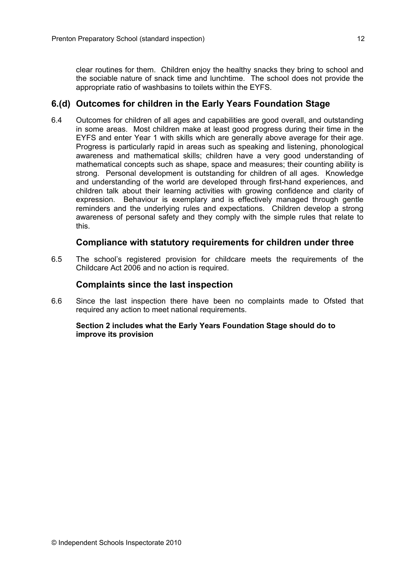clear routines for them. Children enjoy the healthy snacks they bring to school and the sociable nature of snack time and lunchtime. The school does not provide the appropriate ratio of washbasins to toilets within the EYFS.

## **6.(d) Outcomes for children in the Early Years Foundation Stage**

6.4 Outcomes for children of all ages and capabilities are good overall, and outstanding in some areas. Most children make at least good progress during their time in the EYFS and enter Year 1 with skills which are generally above average for their age. Progress is particularly rapid in areas such as speaking and listening, phonological awareness and mathematical skills; children have a very good understanding of mathematical concepts such as shape, space and measures; their counting ability is strong. Personal development is outstanding for children of all ages. Knowledge and understanding of the world are developed through first-hand experiences, and children talk about their learning activities with growing confidence and clarity of expression. Behaviour is exemplary and is effectively managed through gentle reminders and the underlying rules and expectations. Children develop a strong awareness of personal safety and they comply with the simple rules that relate to this.

## **Compliance with statutory requirements for children under three**

6.5 The school's registered provision for childcare meets the requirements of the Childcare Act 2006 and no action is required.

## **Complaints since the last inspection**

6.6 Since the last inspection there have been no complaints made to Ofsted that required any action to meet national requirements.

#### **Section 2 includes what the Early Years Foundation Stage should do to improve its provision**